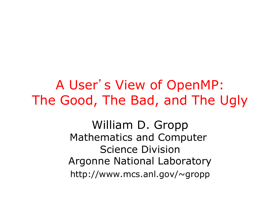A User's View of OpenMP: The Good, The Bad, and The Ugly

> William D. Gropp Mathematics and Computer Science Division Argonne National Laboratory http://www.mcs.anl.gov/~gropp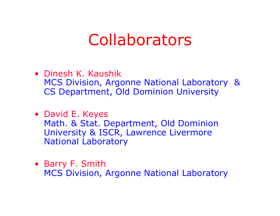### Collaborators

- Dinesh K. Kaushik MCS Division, Argonne National Laboratory & CS Department, Old Dominion University
- David E. Keyes Math. & Stat. Department, Old Dominion University & ISCR, Lawrence Livermore National Laboratory
- Barry F. Smith MCS Division, Argonne National Laboratory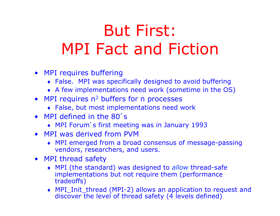# But First: MPI Fact and Fiction

- MPI requires buffering
	- ♦ False. MPI was specifically designed to avoid buffering
	- ♦ A few implementations need work (sometime in the OS)
- MPI requires  $n^2$  buffers for n processes
	- ♦ False, but most implementations need work
- MPI defined in the 80's
	- ♦ MPI Forum's first meeting was in January 1993
- MPI was derived from PVM
	- ♦ MPI emerged from a broad consensus of message-passing vendors, researchers, and users.
- MPI thread safety
	- ♦ MPI (the standard) was designed to *allow* thread-safe implementations but not require them (performance tradeoffs)
	- ♦ MPI\_Init\_thread (MPI-2) allows an application to request and discover the level of thread safety (4 levels defined)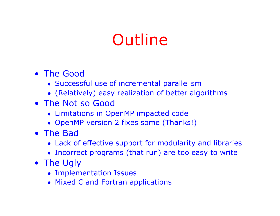## **Outline**

- The Good
	- ♦ Successful use of incremental parallelism
	- ♦ (Relatively) easy realization of better algorithms
- The Not so Good
	- ♦ Limitations in OpenMP impacted code
	- OpenMP version 2 fixes some (Thanks!)
- The Bad
	- ♦ Lack of effective support for modularity and libraries
	- ♦ Incorrect programs (that run) are too easy to write
- The Ugly
	- ♦ Implementation Issues
	- ♦ Mixed C and Fortran applications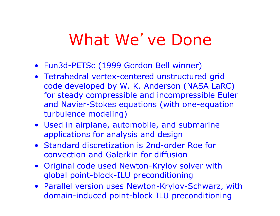### What We've Done

- Fun3d-PETSc (1999 Gordon Bell winner)
- Tetrahedral vertex-centered unstructured grid code developed by W. K. Anderson (NASA LaRC) for steady compressible and incompressible Euler and Navier-Stokes equations (with one-equation turbulence modeling)
- Used in airplane, automobile, and submarine applications for analysis and design
- Standard discretization is 2nd-order Roe for convection and Galerkin for diffusion
- Original code used Newton-Krylov solver with global point-block-ILU preconditioning
- Parallel version uses Newton-Krylov-Schwarz, with domain-induced point-block ILU preconditioning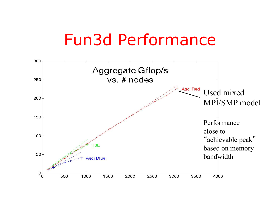### Fun3d Performance

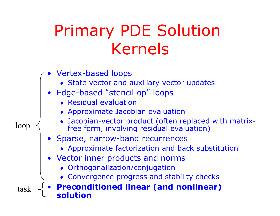# Primary PDE Solution Kernels

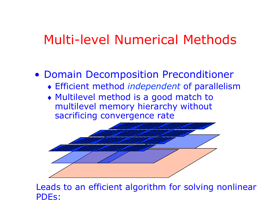#### Multi-level Numerical Methods

#### • Domain Decomposition Preconditioner

- ♦ Efficient method *independent* of parallelism
- ♦ Multilevel method is a good match to multilevel memory hierarchy without sacrificing convergence rate



Leads to an efficient algorithm for solving nonlinear PDEs: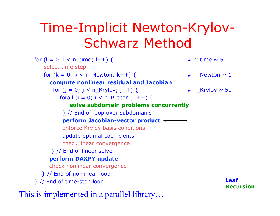#### Time-Implicit Newton-Krylov-Schwarz Method

for  $(l = 0; l < n$  time;  $l++$ ) {  $# n$  time ~ 50 select time step for  $(k = 0; k < n$  Newton;  $k++$ ) {  $\# n$  Newton ~ 1 **compute nonlinear residual and Jacobian** for  $(j = 0; j < n$  Krylov;  $j++$ ) {  $\# n$  Krylov ~ 50 forall ( $i = 0$ ;  $i < n$  Precon ;  $i++$ ) { **solve subdomain problems concurrently**  } // End of loop over subdomains **perform Jacobian-vector product**  enforce Krylov basis conditions update optimal coefficients check linear convergence } // End of linear solver **perform DAXPY update** check nonlinear convergence } // End of nonlinear loop } // End of time-step loop **Leaf Recursion**  This is implemented in a parallel library…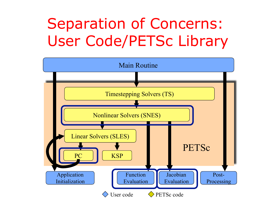### Separation of Concerns: User Code/PETSc Library

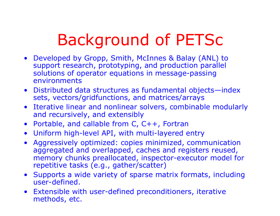# Background of PETSc

- Developed by Gropp, Smith, McInnes & Balay (ANL) to support research, prototyping, and production parallel solutions of operator equations in message-passing environments
- Distributed data structures as fundamental objects—index sets, vectors/gridfunctions, and matrices/arrays
- Iterative linear and nonlinear solvers, combinable modularly and recursively, and extensibly
- Portable, and callable from C, C++, Fortran
- Uniform high-level API, with multi-layered entry
- Aggressively optimized: copies minimized, communication aggregated and overlapped, caches and registers reused, memory chunks preallocated, inspector-executor model for repetitive tasks (e.g., gather/scatter)
- Supports a wide variety of sparse matrix formats, including user-defined.
- Extensible with user-defined preconditioners, iterative methods, etc.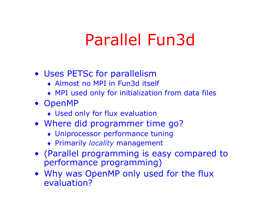### Parallel Fun3d

#### • Uses PETSc for parallelism

- ♦ Almost no MPI in Fun3d itself
- ♦ MPI used only for initialization from data files
- OpenMP
	- ♦ Used only for flux evaluation
- Where did programmer time go?
	- ♦ Uniprocessor performance tuning
	- ♦ Primarily *locality* management
- (Parallel programming is easy compared to performance programming)
- Why was OpenMP only used for the flux evaluation?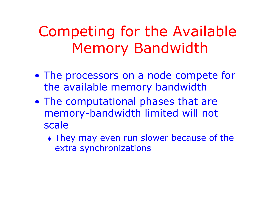### Competing for the Available Memory Bandwidth

- The processors on a node compete for the available memory bandwidth
- The computational phases that are memory-bandwidth limited will not scale
	- ♦ They may even run slower because of the extra synchronizations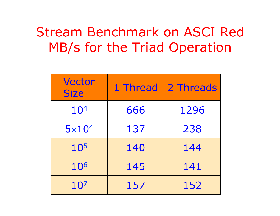#### Stream Benchmark on ASCI Red MB/s for the Triad Operation

| <b>Vector</b><br><b>Size</b> | 1 Thread | 2 Threads |
|------------------------------|----------|-----------|
| 10 <sup>4</sup>              | 666      | 1296      |
| $5 \times 10^4$              | 137      | 238       |
| 10 <sup>5</sup>              | 140      | 144       |
| 106                          | 145      | 141       |
| 10 <sup>7</sup>              | 157      | 152       |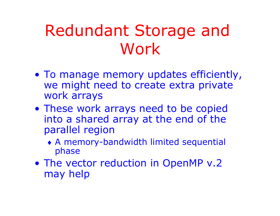## Redundant Storage and Work

- To manage memory updates efficiently, we might need to create extra private work arrays
- These work arrays need to be copied into a shared array at the end of the parallel region
	- ♦ A memory-bandwidth limited sequential phase
- The vector reduction in OpenMP v.2 may help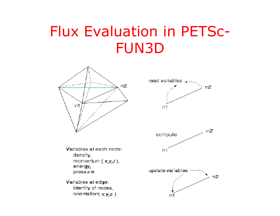#### Flux Evaluation in PETSc-FUN3D





Variables at each node: density. momentum  $(x, y, z)$ . energy, pressure

Variables at edge: identity of nodes, orientation( $x, y, z$ )

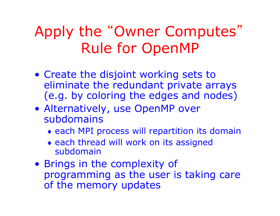### Apply the "Owner Computes" Rule for OpenMP

- Create the disjoint working sets to eliminate the redundant private arrays (e.g. by coloring the edges and nodes)
- Alternatively, use OpenMP over subdomains
	- ♦ each MPI process will repartition its domain
	- ♦ each thread will work on its assigned subdomain
- Brings in the complexity of programming as the user is taking care of the memory updates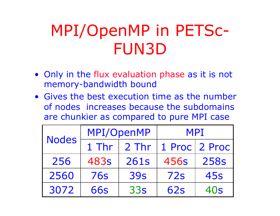# MPI/OpenMP in PETSc-FUN3D

- Only in the flux evaluation phase as it is not memory-bandwidth bound
- Gives the best execution time as the number of nodes increases because the subdomains are chunkier as compared to pure MPI case

| <b>Nodes</b> | MPI/OpenMP |            | <b>MPI</b> |               |
|--------------|------------|------------|------------|---------------|
|              | 1 Thr      | 2 Thr      |            | 1 Proc 2 Proc |
| 256          | 483s       | 261s       | 456s       | <b>258s</b>   |
| 2560         | <b>76s</b> | <b>39s</b> | 72s        | <b>45s</b>    |
| 3072         | <b>66s</b> | 33s        | 62s        | 40s           |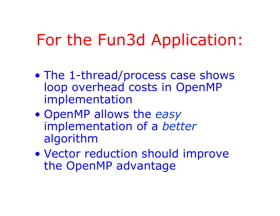### For the Fun3d Application:

- The 1-thread/process case shows loop overhead costs in OpenMP implementation
- OpenMP allows the *easy* implementation of a *better* algorithm
- Vector reduction should improve the OpenMP advantage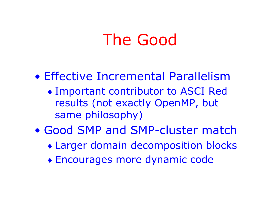### The Good

#### • Effective Incremental Parallelism

- ♦ Important contributor to ASCI Red results (not exactly OpenMP, but same philosophy)
- Good SMP and SMP-cluster match
	- ♦ Larger domain decomposition blocks
	- ♦ Encourages more dynamic code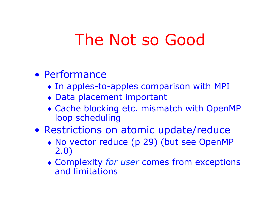### The Not so Good

#### • Performance

- ♦ In apples-to-apples comparison with MPI
- ♦ Data placement important
- ♦ Cache blocking etc. mismatch with OpenMP loop scheduling
- Restrictions on atomic update/reduce
	- ♦ No vector reduce (p 29) (but see OpenMP 2.0)
	- ♦ Complexity *for user* comes from exceptions and limitations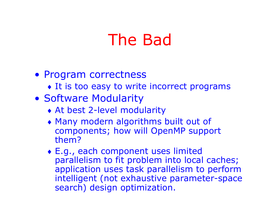### The Bad

- Program correctness
	- It is too easy to write incorrect programs
- Software Modularity
	- ♦ At best 2-level modularity
	- ♦ Many modern algorithms built out of components; how will OpenMP support them?
	- ♦ E.g., each component uses limited parallelism to fit problem into local caches; application uses task parallelism to perform intelligent (not exhaustive parameter-space search) design optimization.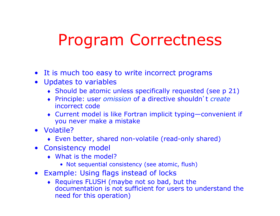### Program Correctness

- It is much too easy to write incorrect programs
- Updates to variables
	- ♦ Should be atomic unless specifically requested (see p 21)
	- ♦ Principle: user *omission* of a directive shouldn't *create* incorrect code
	- ♦ Current model is like Fortran implicit typing—convenient if you never make a mistake
- Volatile?
	- ♦ Even better, shared non-volatile (read-only shared)
- Consistency model
	- ♦ What is the model?
		- Not sequential consistency (see atomic, flush)
- Example: Using flags instead of locks
	- ♦ Requires FLUSH (maybe not so bad, but the documentation is not sufficient for users to understand the need for this operation)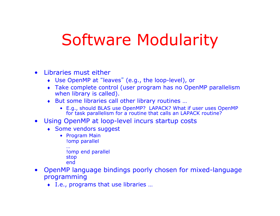### Software Modularity

- Libraries must either
	- ♦ Use OpenMP at "leaves" (e.g., the loop-level), or
	- ♦ Take complete control (user program has no OpenMP parallelism when library is called).
	- ♦ But some libraries call other library routines …
		- E.g., should BLAS use OpenMP? LAPACK? What if user uses OpenMP for task parallelism for a routine that calls an LAPACK routine?
- Using OpenMP at loop-level incurs startup costs
	- ♦ Some vendors suggest
		- Program Main !omp parallel
			- … !omp end parallel stop end
- OpenMP language bindings poorly chosen for mixed-language programming
	- ♦ I.e., programs that use libraries …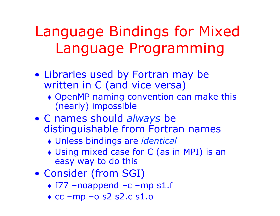### Language Bindings for Mixed Language Programming

- Libraries used by Fortran may be written in C (and vice versa)
	- ♦ OpenMP naming convention can make this (nearly) impossible
- C names should *always* be distinguishable from Fortran names
	- ♦ Unless bindings are *identical*
	- ♦ Using mixed case for C (as in MPI) is an easy way to do this
- Consider (from SGI)
	- ♦ f77 –noappend –c –mp s1.f
	- $\triangle$  cc –mp –o s2 s2.c s1.o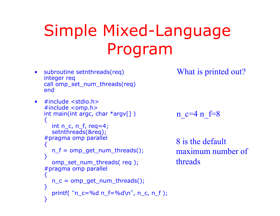# Simple Mixed-Language Program

• subroutine setnthreads(req) integer req call omp\_set\_num\_threads(req) end

```
\bullet #include <stdio.h>
#include <omp.h> 
int main(int argc, char *argy[])
{ 
   int n_c, n_f, req=4;
    setnthreads(&req); 
#pragma omp parallel 
₹.
   n f = omp get num threads();
} 
   omp_set_num_threads( req );
#pragma omp parallel 
{ 
   n_c = omp_get_num_threads();
} 
   printf( "n_c = %d n_f = %d \nvert n", n_c, n_f);
}
```
What is printed out?

```
n c=4 n f=8
```
8 is the default maximum number of threads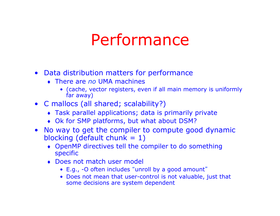### Performance

- Data distribution matters for performance
	- ♦ There are *no* UMA machines
		- (cache, vector registers, even if all main memory is uniformly far away)
- C mallocs (all shared; scalability?)
	- ♦ Task parallel applications; data is primarily private
	- Ok for SMP platforms, but what about DSM?
- No way to get the compiler to compute good dynamic blocking (default chunk  $= 1$ )
	- ♦ OpenMP directives tell the compiler to do something specific
	- ♦ Does not match user model
		- E.g., -O often includes "unroll by a good amount"
		- Does not mean that user-control is not valuable, just that some decisions are system dependent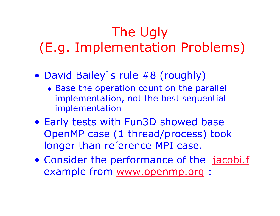#### The Ugly (E.g. Implementation Problems)

- David Bailey's rule #8 (roughly)
	- ♦ Base the operation count on the parallel implementation, not the best sequential implementation
- Early tests with Fun3D showed base OpenMP case (1 thread/process) took longer than reference MPI case.
- Consider the performance of the jacobi.f example from www.openmp.org :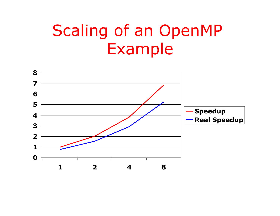### Scaling of an OpenMP Example

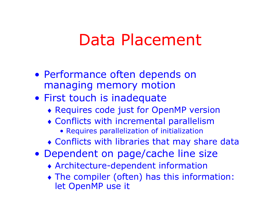#### Data Placement

- Performance often depends on managing memory motion
- First touch is inadequate
	- ♦ Requires code just for OpenMP version
	- ♦ Conflicts with incremental parallelism
		- Requires parallelization of initialization
	- ♦ Conflicts with libraries that may share data
- Dependent on page/cache line size
	- ♦ Architecture-dependent information
	- ♦ The compiler (often) has this information: let OpenMP use it